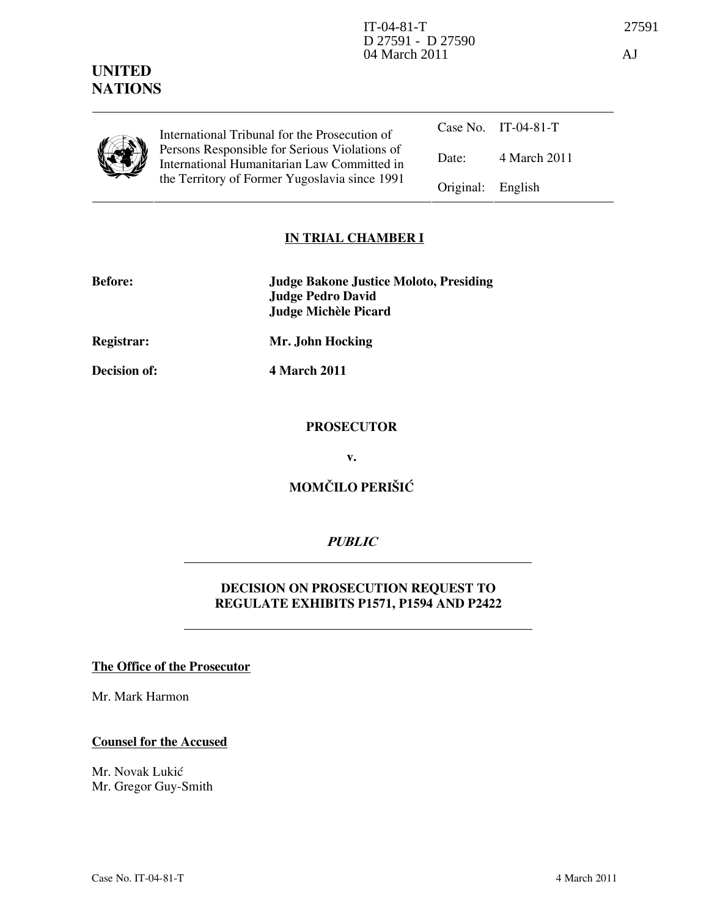## UNITED **NATIONS**

|--|

Case No. IT-04-81-T Date: 4 March 2011 International Tribunal for the Prosecution of Persons Responsible for Serious Violations of International Humanitarian Law Committed in the Territory of Former Yugoslavia since 1991 Original: English

## IN TRIAL CHAMBER I

| <b>Before:</b> | <b>Judge Bakone Justice Moloto, Presiding</b> |
|----------------|-----------------------------------------------|
|                | Judge Pedro David                             |
|                | Judge Michèle Picard                          |

Registrar: Mr. John Hocking

Decision of: 4 March 2011

#### PROSECUTOR

v.

# MOMČILO PERIŠIĆ

## **PUBLIC**

### DECISION ON PROSECUTION REQUEST TO REGULATE EXHIBITS P1571, P1594 AND P2422

#### The Office of the Prosecutor

Mr. Mark Harmon

#### Counsel for the Accused

Mr. Novak Lukić Mr. Gregor Guy-Smith